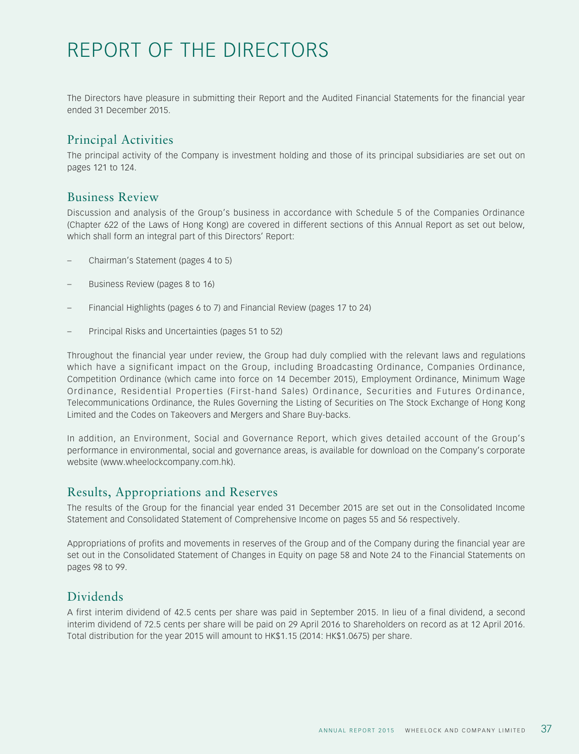# REPORT OF THE DIRECTORS

The Directors have pleasure in submitting their Report and the Audited Financial Statements for the financial year ended 31 December 2015.

# Principal Activities

The principal activity of the Company is investment holding and those of its principal subsidiaries are set out on pages 121 to 124.

### Business Review

Discussion and analysis of the Group's business in accordance with Schedule 5 of the Companies Ordinance (Chapter 622 of the Laws of Hong Kong) are covered in different sections of this Annual Report as set out below, which shall form an integral part of this Directors' Report:

- Chairman's Statement (pages 4 to 5)
- Business Review (pages 8 to 16)
- Financial Highlights (pages 6 to 7) and Financial Review (pages 17 to 24)
- Principal Risks and Uncertainties (pages 51 to 52)

Throughout the financial year under review, the Group had duly complied with the relevant laws and regulations which have a significant impact on the Group, including Broadcasting Ordinance, Companies Ordinance, Competition Ordinance (which came into force on 14 December 2015), Employment Ordinance, Minimum Wage Ordinance, Residential Properties (First-hand Sales) Ordinance, Securities and Futures Ordinance, Telecommunications Ordinance, the Rules Governing the Listing of Securities on The Stock Exchange of Hong Kong Limited and the Codes on Takeovers and Mergers and Share Buy-backs.

In addition, an Environment, Social and Governance Report, which gives detailed account of the Group's performance in environmental, social and governance areas, is available for download on the Company's corporate website (www.wheelockcompany.com.hk).

# Results, Appropriations and Reserves

The results of the Group for the financial year ended 31 December 2015 are set out in the Consolidated Income Statement and Consolidated Statement of Comprehensive Income on pages 55 and 56 respectively.

Appropriations of profits and movements in reserves of the Group and of the Company during the financial year are set out in the Consolidated Statement of Changes in Equity on page 58 and Note 24 to the Financial Statements on pages 98 to 99.

# Dividends

A first interim dividend of 42.5 cents per share was paid in September 2015. In lieu of a final dividend, a second interim dividend of 72.5 cents per share will be paid on 29 April 2016 to Shareholders on record as at 12 April 2016. Total distribution for the year 2015 will amount to HK\$1.15 (2014: HK\$1.0675) per share.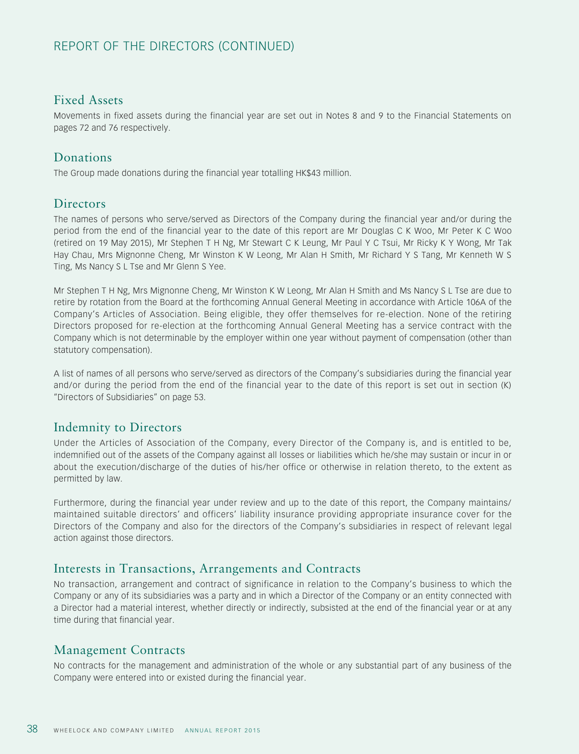# Fixed Assets

Movements in fixed assets during the financial year are set out in Notes 8 and 9 to the Financial Statements on pages 72 and 76 respectively.

### Donations

The Group made donations during the financial year totalling HK\$43 million.

### **Directors**

The names of persons who serve/served as Directors of the Company during the financial year and/or during the period from the end of the financial year to the date of this report are Mr Douglas C K Woo, Mr Peter K C Woo (retired on 19 May 2015), Mr Stephen T H Ng, Mr Stewart C K Leung, Mr Paul Y C Tsui, Mr Ricky K Y Wong, Mr Tak Hay Chau, Mrs Mignonne Cheng, Mr Winston K W Leong, Mr Alan H Smith, Mr Richard Y S Tang, Mr Kenneth W S Ting, Ms Nancy S L Tse and Mr Glenn S Yee.

Mr Stephen T H Ng, Mrs Mignonne Cheng, Mr Winston K W Leong, Mr Alan H Smith and Ms Nancy S L Tse are due to retire by rotation from the Board at the forthcoming Annual General Meeting in accordance with Article 106A of the Company's Articles of Association. Being eligible, they offer themselves for re-election. None of the retiring Directors proposed for re-election at the forthcoming Annual General Meeting has a service contract with the Company which is not determinable by the employer within one year without payment of compensation (other than statutory compensation).

A list of names of all persons who serve/served as directors of the Company's subsidiaries during the financial year and/or during the period from the end of the financial year to the date of this report is set out in section (K) "Directors of Subsidiaries" on page 53.

### Indemnity to Directors

Under the Articles of Association of the Company, every Director of the Company is, and is entitled to be, indemnified out of the assets of the Company against all losses or liabilities which he/she may sustain or incur in or about the execution/discharge of the duties of his/her office or otherwise in relation thereto, to the extent as permitted by law.

Furthermore, during the financial year under review and up to the date of this report, the Company maintains/ maintained suitable directors' and officers' liability insurance providing appropriate insurance cover for the Directors of the Company and also for the directors of the Company's subsidiaries in respect of relevant legal action against those directors.

### Interests in Transactions, Arrangements and Contracts

No transaction, arrangement and contract of significance in relation to the Company's business to which the Company or any of its subsidiaries was a party and in which a Director of the Company or an entity connected with a Director had a material interest, whether directly or indirectly, subsisted at the end of the financial year or at any time during that financial year.

# Management Contracts

No contracts for the management and administration of the whole or any substantial part of any business of the Company were entered into or existed during the financial year.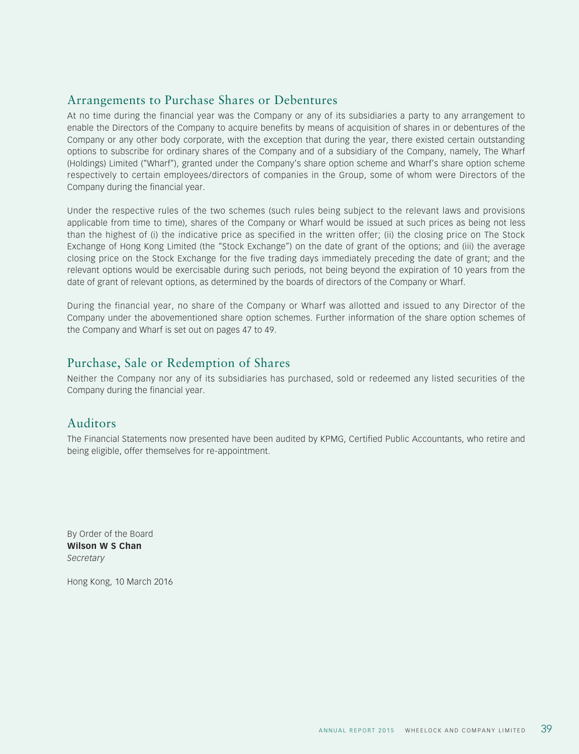# Arrangements to Purchase Shares or Debentures

At no time during the financial year was the Company or any of its subsidiaries a party to any arrangement to enable the Directors of the Company to acquire benefits by means of acquisition of shares in or debentures of the Company or any other body corporate, with the exception that during the year, there existed certain outstanding options to subscribe for ordinary shares of the Company and of a subsidiary of the Company, namely, The Wharf (Holdings) Limited ("Wharf"), granted under the Company's share option scheme and Wharf's share option scheme respectively to certain employees/directors of companies in the Group, some of whom were Directors of the Company during the financial year.

Under the respective rules of the two schemes (such rules being subject to the relevant laws and provisions applicable from time to time), shares of the Company or Wharf would be issued at such prices as being not less than the highest of (i) the indicative price as specified in the written offer; (ii) the closing price on The Stock Exchange of Hong Kong Limited (the "Stock Exchange") on the date of grant of the options; and (iii) the average closing price on the Stock Exchange for the five trading days immediately preceding the date of grant; and the relevant options would be exercisable during such periods, not being beyond the expiration of 10 years from the date of grant of relevant options, as determined by the boards of directors of the Company or Wharf.

During the financial year, no share of the Company or Wharf was allotted and issued to any Director of the Company under the abovementioned share option schemes. Further information of the share option schemes of the Company and Wharf is set out on pages 47 to 49.

# Purchase, Sale or Redemption of Shares

Neither the Company nor any of its subsidiaries has purchased, sold or redeemed any listed securities of the Company during the financial year.

# Auditors

The Financial Statements now presented have been audited by KPMG, Certified Public Accountants, who retire and being eligible, offer themselves for re-appointment.

By Order of the Board **Wilson W S Chan** *Secretary*

Hong Kong, 10 March 2016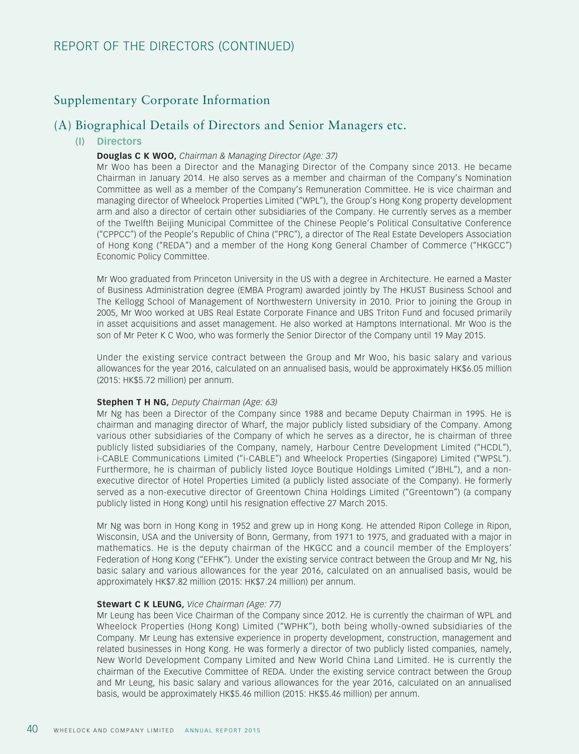# Supplementary Corporate Information

### (A) Biographical Details of Directors and Senior Managers etc.

### **(I) Directors**

### **Douglas C K WOO,** *Chairman & Managing Director (Age: 37)*

Mr Woo has been a Director and the Managing Director of the Company since 2013. He became Chairman in January 2014. He also serves as a member and chairman of the Company's Nomination Committee as well as a member of the Company's Remuneration Committee. He is vice chairman and managing director of Wheelock Properties Limited ("WPL"), the Group's Hong Kong property development arm and also a director of certain other subsidiaries of the Company. He currently serves as a member of the Twelfth Beijing Municipal Committee of the Chinese People's Political Consultative Conference ("CPPCC") of the People's Republic of China ("PRC"), a director of The Real Estate Developers Association of Hong Kong ("REDA") and a member of the Hong Kong General Chamber of Commerce ("HKGCC") Economic Policy Committee.

Mr Woo graduated from Princeton University in the US with a degree in Architecture. He earned a Master of Business Administration degree (EMBA Program) awarded jointly by The HKUST Business School and The Kellogg School of Management of Northwestern University in 2010. Prior to joining the Group in 2005, Mr Woo worked at UBS Real Estate Corporate Finance and UBS Triton Fund and focused primarily in asset acquisitions and asset management. He also worked at Hamptons International. Mr Woo is the son of Mr Peter K C Woo, who was formerly the Senior Director of the Company until 19 May 2015.

Under the existing service contract between the Group and Mr Woo, his basic salary and various allowances for the year 2016, calculated on an annualised basis, would be approximately HK\$6.05 million (2015: HK\$5.72 million) per annum.

#### **Stephen T H NG,** *Deputy Chairman (Age: 63)*

Mr Ng has been a Director of the Company since 1988 and became Deputy Chairman in 1995. He is chairman and managing director of Wharf, the major publicly listed subsidiary of the Company. Among various other subsidiaries of the Company of which he serves as a director, he is chairman of three publicly listed subsidiaries of the Company, namely, Harbour Centre Development Limited ("HCDL"), i-CABLE Communications Limited ("i-CABLE") and Wheelock Properties (Singapore) Limited ("WPSL"). Furthermore, he is chairman of publicly listed Joyce Boutique Holdings Limited ("JBHL"), and a nonexecutive director of Hotel Properties Limited (a publicly listed associate of the Company). He formerly served as a non-executive director of Greentown China Holdings Limited ("Greentown") (a company publicly listed in Hong Kong) until his resignation effective 27 March 2015.

Mr Ng was born in Hong Kong in 1952 and grew up in Hong Kong. He attended Ripon College in Ripon, Wisconsin, USA and the University of Bonn, Germany, from 1971 to 1975, and graduated with a major in mathematics. He is the deputy chairman of the HKGCC and a council member of the Employers' Federation of Hong Kong ("EFHK"). Under the existing service contract between the Group and Mr Ng, his basic salary and various allowances for the year 2016, calculated on an annualised basis, would be approximately HK\$7.82 million (2015: HK\$7.24 million) per annum.

#### **Stewart C K LEUNG,** *Vice Chairman (Age: 77)*

Mr Leung has been Vice Chairman of the Company since 2012. He is currently the chairman of WPL and Wheelock Properties (Hong Kong) Limited ("WPHK"), both being wholly-owned subsidiaries of the Company. Mr Leung has extensive experience in property development, construction, management and related businesses in Hong Kong. He was formerly a director of two publicly listed companies, namely, New World Development Company Limited and New World China Land Limited. He is currently the chairman of the Executive Committee of REDA. Under the existing service contract between the Group and Mr Leung, his basic salary and various allowances for the year 2016, calculated on an annualised basis, would be approximately HK\$5.46 million (2015: HK\$5.46 million) per annum.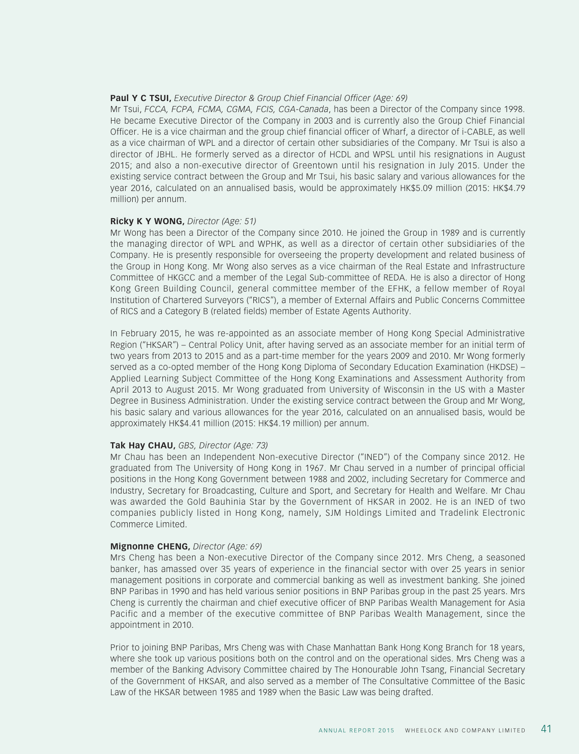#### **Paul Y C TSUI,** *Executive Director & Group Chief Financial Officer (Age: 69)*

Mr Tsui, *FCCA, FCPA, FCMA, CGMA, FCIS, CGA-Canada*, has been a Director of the Company since 1998. He became Executive Director of the Company in 2003 and is currently also the Group Chief Financial Officer. He is a vice chairman and the group chief financial officer of Wharf, a director of i-CABLE, as well as a vice chairman of WPL and a director of certain other subsidiaries of the Company. Mr Tsui is also a director of JBHL. He formerly served as a director of HCDL and WPSL until his resignations in August 2015; and also a non-executive director of Greentown until his resignation in July 2015. Under the existing service contract between the Group and Mr Tsui, his basic salary and various allowances for the year 2016, calculated on an annualised basis, would be approximately HK\$5.09 million (2015: HK\$4.79 million) per annum.

#### **Ricky K Y WONG,** *Director (Age: 51)*

Mr Wong has been a Director of the Company since 2010. He joined the Group in 1989 and is currently the managing director of WPL and WPHK, as well as a director of certain other subsidiaries of the Company. He is presently responsible for overseeing the property development and related business of the Group in Hong Kong. Mr Wong also serves as a vice chairman of the Real Estate and Infrastructure Committee of HKGCC and a member of the Legal Sub-committee of REDA. He is also a director of Hong Kong Green Building Council, general committee member of the EFHK, a fellow member of Royal Institution of Chartered Surveyors ("RICS"), a member of External Affairs and Public Concerns Committee of RICS and a Category B (related fields) member of Estate Agents Authority.

In February 2015, he was re-appointed as an associate member of Hong Kong Special Administrative Region ("HKSAR") – Central Policy Unit, after having served as an associate member for an initial term of two years from 2013 to 2015 and as a part-time member for the years 2009 and 2010. Mr Wong formerly served as a co-opted member of the Hong Kong Diploma of Secondary Education Examination (HKDSE) – Applied Learning Subject Committee of the Hong Kong Examinations and Assessment Authority from April 2013 to August 2015. Mr Wong graduated from University of Wisconsin in the US with a Master Degree in Business Administration. Under the existing service contract between the Group and Mr Wong, his basic salary and various allowances for the year 2016, calculated on an annualised basis, would be approximately HK\$4.41 million (2015: HK\$4.19 million) per annum.

### **Tak Hay CHAU,** *GBS, Director (Age: 73)*

Mr Chau has been an Independent Non-executive Director ("INED") of the Company since 2012. He graduated from The University of Hong Kong in 1967. Mr Chau served in a number of principal official positions in the Hong Kong Government between 1988 and 2002, including Secretary for Commerce and Industry, Secretary for Broadcasting, Culture and Sport, and Secretary for Health and Welfare. Mr Chau was awarded the Gold Bauhinia Star by the Government of HKSAR in 2002. He is an INED of two companies publicly listed in Hong Kong, namely, SJM Holdings Limited and Tradelink Electronic Commerce Limited.

#### **Mignonne CHENG,** *Director (Age: 69)*

Mrs Cheng has been a Non-executive Director of the Company since 2012. Mrs Cheng, a seasoned banker, has amassed over 35 years of experience in the financial sector with over 25 years in senior management positions in corporate and commercial banking as well as investment banking. She joined BNP Paribas in 1990 and has held various senior positions in BNP Paribas group in the past 25 years. Mrs Cheng is currently the chairman and chief executive officer of BNP Paribas Wealth Management for Asia Pacific and a member of the executive committee of BNP Paribas Wealth Management, since the appointment in 2010.

Prior to joining BNP Paribas, Mrs Cheng was with Chase Manhattan Bank Hong Kong Branch for 18 years, where she took up various positions both on the control and on the operational sides. Mrs Cheng was a member of the Banking Advisory Committee chaired by The Honourable John Tsang, Financial Secretary of the Government of HKSAR, and also served as a member of The Consultative Committee of the Basic Law of the HKSAR between 1985 and 1989 when the Basic Law was being drafted.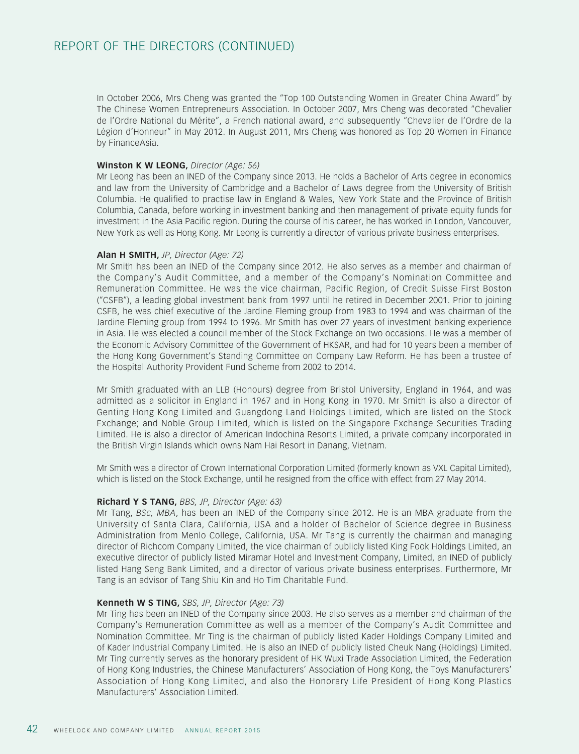In October 2006, Mrs Cheng was granted the "Top 100 Outstanding Women in Greater China Award" by The Chinese Women Entrepreneurs Association. In October 2007, Mrs Cheng was decorated "Chevalier de l'Ordre National du Mérite", a French national award, and subsequently "Chevalier de l'Ordre de la Légion d'Honneur" in May 2012. In August 2011, Mrs Cheng was honored as Top 20 Women in Finance by FinanceAsia.

#### **Winston K W LEONG,** *Director (Age: 56)*

Mr Leong has been an INED of the Company since 2013. He holds a Bachelor of Arts degree in economics and law from the University of Cambridge and a Bachelor of Laws degree from the University of British Columbia. He qualified to practise law in England & Wales, New York State and the Province of British Columbia, Canada, before working in investment banking and then management of private equity funds for investment in the Asia Pacific region. During the course of his career, he has worked in London, Vancouver, New York as well as Hong Kong. Mr Leong is currently a director of various private business enterprises.

#### **Alan H SMITH,** *JP, Director (Age: 72)*

Mr Smith has been an INED of the Company since 2012. He also serves as a member and chairman of the Company's Audit Committee, and a member of the Company's Nomination Committee and Remuneration Committee. He was the vice chairman, Pacific Region, of Credit Suisse First Boston ("CSFB"), a leading global investment bank from 1997 until he retired in December 2001. Prior to joining CSFB, he was chief executive of the Jardine Fleming group from 1983 to 1994 and was chairman of the Jardine Fleming group from 1994 to 1996. Mr Smith has over 27 years of investment banking experience in Asia. He was elected a council member of the Stock Exchange on two occasions. He was a member of the Economic Advisory Committee of the Government of HKSAR, and had for 10 years been a member of the Hong Kong Government's Standing Committee on Company Law Reform. He has been a trustee of the Hospital Authority Provident Fund Scheme from 2002 to 2014.

Mr Smith graduated with an LLB (Honours) degree from Bristol University, England in 1964, and was admitted as a solicitor in England in 1967 and in Hong Kong in 1970. Mr Smith is also a director of Genting Hong Kong Limited and Guangdong Land Holdings Limited, which are listed on the Stock Exchange; and Noble Group Limited, which is listed on the Singapore Exchange Securities Trading Limited. He is also a director of American Indochina Resorts Limited, a private company incorporated in the British Virgin Islands which owns Nam Hai Resort in Danang, Vietnam.

Mr Smith was a director of Crown International Corporation Limited (formerly known as VXL Capital Limited), which is listed on the Stock Exchange, until he resigned from the office with effect from 27 May 2014.

#### **Richard Y S TANG,** *BBS, JP, Director (Age: 63)*

Mr Tang, *BSc, MBA*, has been an INED of the Company since 2012. He is an MBA graduate from the University of Santa Clara, California, USA and a holder of Bachelor of Science degree in Business Administration from Menlo College, California, USA. Mr Tang is currently the chairman and managing director of Richcom Company Limited, the vice chairman of publicly listed King Fook Holdings Limited, an executive director of publicly listed Miramar Hotel and Investment Company, Limited, an INED of publicly listed Hang Seng Bank Limited, and a director of various private business enterprises. Furthermore, Mr Tang is an advisor of Tang Shiu Kin and Ho Tim Charitable Fund.

#### **Kenneth W S TING,** *SBS, JP, Director (Age: 73)*

Mr Ting has been an INED of the Company since 2003. He also serves as a member and chairman of the Company's Remuneration Committee as well as a member of the Company's Audit Committee and Nomination Committee. Mr Ting is the chairman of publicly listed Kader Holdings Company Limited and of Kader Industrial Company Limited. He is also an INED of publicly listed Cheuk Nang (Holdings) Limited. Mr Ting currently serves as the honorary president of HK Wuxi Trade Association Limited, the Federation of Hong Kong Industries, the Chinese Manufacturers' Association of Hong Kong, the Toys Manufacturers' Association of Hong Kong Limited, and also the Honorary Life President of Hong Kong Plastics Manufacturers' Association Limited.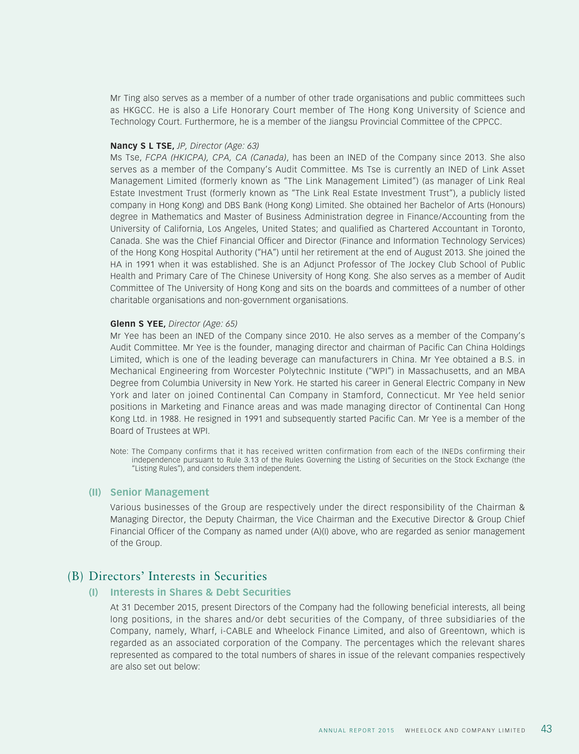Mr Ting also serves as a member of a number of other trade organisations and public committees such as HKGCC. He is also a Life Honorary Court member of The Hong Kong University of Science and Technology Court. Furthermore, he is a member of the Jiangsu Provincial Committee of the CPPCC.

#### **Nancy S L TSE,** *JP, Director (Age: 63)*

Ms Tse, *FCPA (HKICPA), CPA, CA (Canada)*, has been an INED of the Company since 2013. She also serves as a member of the Company's Audit Committee. Ms Tse is currently an INED of Link Asset Management Limited (formerly known as "The Link Management Limited") (as manager of Link Real Estate Investment Trust (formerly known as "The Link Real Estate Investment Trust"), a publicly listed company in Hong Kong) and DBS Bank (Hong Kong) Limited. She obtained her Bachelor of Arts (Honours) degree in Mathematics and Master of Business Administration degree in Finance/Accounting from the University of California, Los Angeles, United States; and qualified as Chartered Accountant in Toronto, Canada. She was the Chief Financial Officer and Director (Finance and Information Technology Services) of the Hong Kong Hospital Authority ("HA") until her retirement at the end of August 2013. She joined the HA in 1991 when it was established. She is an Adjunct Professor of The Jockey Club School of Public Health and Primary Care of The Chinese University of Hong Kong. She also serves as a member of Audit Committee of The University of Hong Kong and sits on the boards and committees of a number of other charitable organisations and non-government organisations.

#### **Glenn S YEE,** *Director (Age: 65)*

Mr Yee has been an INED of the Company since 2010. He also serves as a member of the Company's Audit Committee. Mr Yee is the founder, managing director and chairman of Pacific Can China Holdings Limited, which is one of the leading beverage can manufacturers in China. Mr Yee obtained a B.S. in Mechanical Engineering from Worcester Polytechnic Institute ("WPI") in Massachusetts, and an MBA Degree from Columbia University in New York. He started his career in General Electric Company in New York and later on joined Continental Can Company in Stamford, Connecticut. Mr Yee held senior positions in Marketing and Finance areas and was made managing director of Continental Can Hong Kong Ltd. in 1988. He resigned in 1991 and subsequently started Pacific Can. Mr Yee is a member of the Board of Trustees at WPI.

Note: The Company confirms that it has received written confirmation from each of the INEDs confirming their independence pursuant to Rule 3.13 of the Rules Governing the Listing of Securities on the Stock Exchange (the "Listing Rules"), and considers them independent.

#### **(II) Senior Management**

Various businesses of the Group are respectively under the direct responsibility of the Chairman & Managing Director, the Deputy Chairman, the Vice Chairman and the Executive Director & Group Chief Financial Officer of the Company as named under (A)(I) above, who are regarded as senior management of the Group.

### (B) Directors' Interests in Securities

#### **(I) Interests in Shares & Debt Securities**

At 31 December 2015, present Directors of the Company had the following beneficial interests, all being long positions, in the shares and/or debt securities of the Company, of three subsidiaries of the Company, namely, Wharf, i-CABLE and Wheelock Finance Limited, and also of Greentown, which is regarded as an associated corporation of the Company. The percentages which the relevant shares represented as compared to the total numbers of shares in issue of the relevant companies respectively are also set out below: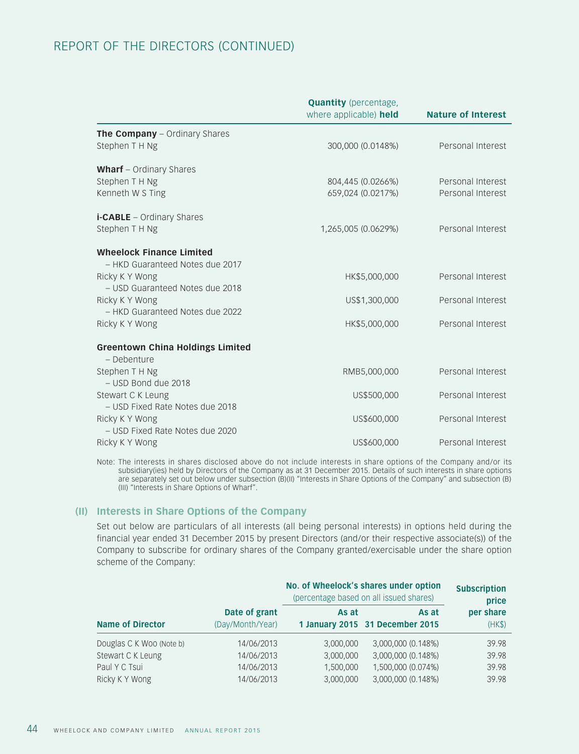|                                                                    | <b>Quantity</b> (percentage,<br>where applicable) held | <b>Nature of Interest</b> |
|--------------------------------------------------------------------|--------------------------------------------------------|---------------------------|
| The Company - Ordinary Shares                                      |                                                        |                           |
| Stephen T H Ng                                                     | 300,000 (0.0148%)                                      | Personal Interest         |
| <b>Wharf</b> - Ordinary Shares                                     |                                                        |                           |
| Stephen T H Ng                                                     | 804,445 (0.0266%)                                      | Personal Interest         |
| Kenneth W S Ting                                                   | 659,024 (0.0217%)                                      | Personal Interest         |
| <b>i-CABLE</b> - Ordinary Shares                                   |                                                        |                           |
| Stephen T H Ng                                                     | 1,265,005 (0.0629%)                                    | Personal Interest         |
| <b>Wheelock Finance Limited</b><br>- HKD Guaranteed Notes due 2017 |                                                        |                           |
| Ricky K Y Wong<br>- USD Guaranteed Notes due 2018                  | HK\$5,000,000                                          | Personal Interest         |
| Ricky K Y Wong                                                     | US\$1,300,000                                          | Personal Interest         |
| - HKD Guaranteed Notes due 2022                                    |                                                        |                           |
| Ricky K Y Wong                                                     | HK\$5,000,000                                          | Personal Interest         |
| <b>Greentown China Holdings Limited</b><br>- Debenture             |                                                        |                           |
| Stephen T H Ng<br>- USD Bond due 2018                              | RMB5,000,000                                           | Personal Interest         |
| Stewart C K Leung<br>- USD Fixed Rate Notes due 2018               | US\$500,000                                            | Personal Interest         |
| Ricky K Y Wong                                                     | US\$600,000                                            | Personal Interest         |
| - USD Fixed Rate Notes due 2020<br>Ricky K Y Wong                  | US\$600,000                                            | Personal Interest         |

Note: The interests in shares disclosed above do not include interests in share options of the Company and/or its subsidiary(ies) held by Directors of the Company as at 31 December 2015. Details of such interests in share options are separately set out below under subsection (B)(II) "Interests in Share Options of the Company" and subsection (B) (III) "Interests in Share Options of Wharf".

### **(II) Interests in Share Options of the Company**

Set out below are particulars of all interests (all being personal interests) in options held during the financial year ended 31 December 2015 by present Directors (and/or their respective associate(s)) of the Company to subscribe for ordinary shares of the Company granted/exercisable under the share option scheme of the Company:

|                          |                                   |           | No. of Wheelock's shares under option<br>(percentage based on all issued shares) | <b>Subscription</b><br>price |
|--------------------------|-----------------------------------|-----------|----------------------------------------------------------------------------------|------------------------------|
| <b>Name of Director</b>  | Date of grant<br>(Day/Month/Year) | As at     | As at<br>1 January 2015 31 December 2015                                         | per share<br>(HK\$)          |
| Douglas C K Woo (Note b) | 14/06/2013                        | 3,000,000 | 3,000,000 (0.148%)                                                               | 39.98                        |
| Stewart C K Leung        | 14/06/2013                        | 3,000,000 | 3,000,000 (0.148%)                                                               | 39.98                        |
| Paul Y C Tsui            | 14/06/2013                        | 1,500,000 | 1,500,000 (0.074%)                                                               | 39.98                        |
| Ricky K Y Wong           | 14/06/2013                        | 3,000,000 | 3,000,000 (0.148%)                                                               | 39.98                        |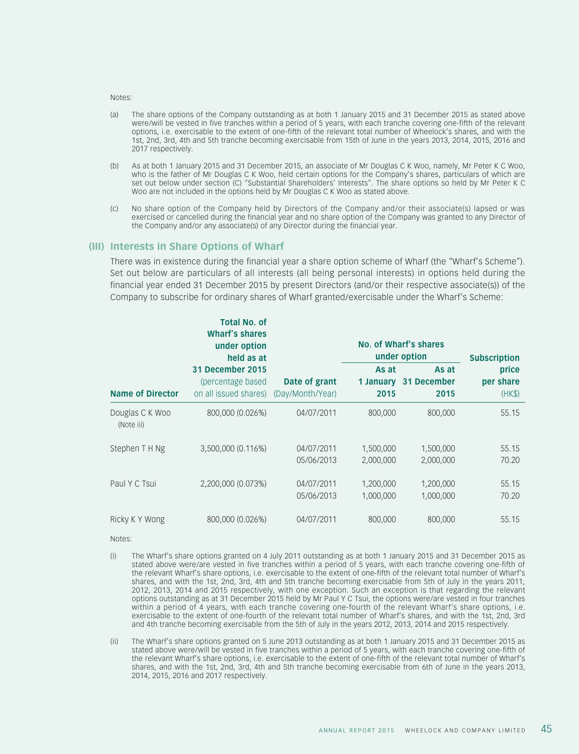#### Notes:

- (a) The share options of the Company outstanding as at both 1 January 2015 and 31 December 2015 as stated above were/will be vested in five tranches within a period of 5 years, with each tranche covering one-fifth of the relevant options, i.e. exercisable to the extent of one-fifth of the relevant total number of Wheelock's shares, and with the 1st, 2nd, 3rd, 4th and 5th tranche becoming exercisable from 15th of June in the years 2013, 2014, 2015, 2016 and 2017 respectively.
- (b) As at both 1 January 2015 and 31 December 2015, an associate of Mr Douglas C K Woo, namely, Mr Peter K C Woo, who is the father of Mr Douglas C K Woo, held certain options for the Company's shares, particulars of which are set out below under section (C) "Substantial Shareholders' Interests". The share options so held by Mr Peter K C Woo are not included in the options held by Mr Douglas C K Woo as stated above.
- (c) No share option of the Company held by Directors of the Company and/or their associate(s) lapsed or was exercised or cancelled during the financial year and no share option of the Company was granted to any Director of the Company and/or any associate(s) of any Director during the financial year.

#### **(III) Interests in Share Options of Wharf**

There was in existence during the financial year a share option scheme of Wharf (the "Wharf's Scheme"). Set out below are particulars of all interests (all being personal interests) in options held during the financial year ended 31 December 2015 by present Directors (and/or their respective associate(s)) of the Company to subscribe for ordinary shares of Wharf granted/exercisable under the Wharf's Scheme:

|                               | <b>Total No. of</b><br><b>Wharf's shares</b><br>under option<br>held as at |                                   |                        | No. of Wharf's shares<br>under option  | <b>Subscription</b>          |
|-------------------------------|----------------------------------------------------------------------------|-----------------------------------|------------------------|----------------------------------------|------------------------------|
| <b>Name of Director</b>       | <b>31 December 2015</b><br>(percentage based<br>on all issued shares)      | Date of grant<br>(Day/Month/Year) | As at<br>2015          | As at<br>1 January 31 December<br>2015 | price<br>per share<br>(HK\$) |
| Douglas C K Woo<br>(Note iii) | 800,000 (0.026%)                                                           | 04/07/2011                        | 800,000                | 800,000                                | 55.15                        |
| Stephen T H Ng                | 3,500,000 (0.116%)                                                         | 04/07/2011<br>05/06/2013          | 1,500,000<br>2,000,000 | 1,500,000<br>2,000,000                 | 55.15<br>70.20               |
| Paul Y C Tsui                 | 2,200,000 (0.073%)                                                         | 04/07/2011<br>05/06/2013          | 1,200,000<br>1,000,000 | 1,200,000<br>1,000,000                 | 55.15<br>70.20               |
| Ricky K Y Wong                | 800,000 (0.026%)                                                           | 04/07/2011                        | 800,000                | 800,000                                | 55.15                        |

Notes:

- (i) The Wharf's share options granted on 4 July 2011 outstanding as at both 1 January 2015 and 31 December 2015 as stated above were/are vested in five tranches within a period of 5 years, with each tranche covering one-fifth of the relevant Wharf's share options, i.e. exercisable to the extent of one-fifth of the relevant total number of Wharf's shares, and with the 1st, 2nd, 3rd, 4th and 5th tranche becoming exercisable from 5th of July in the years 2011, 2012, 2013, 2014 and 2015 respectively, with one exception. Such an exception is that regarding the relevant options outstanding as at 31 December 2015 held by Mr Paul Y C Tsui, the options were/are vested in four tranches within a period of 4 years, with each tranche covering one-fourth of the relevant Wharf's share options, i.e. exercisable to the extent of one-fourth of the relevant total number of Wharf's shares, and with the 1st, 2nd, 3rd and 4th tranche becoming exercisable from the 5th of July in the years 2012, 2013, 2014 and 2015 respectively.
- (ii) The Wharf's share options granted on 5 June 2013 outstanding as at both 1 January 2015 and 31 December 2015 as stated above were/will be vested in five tranches within a period of 5 years, with each tranche covering one-fifth of the relevant Wharf's share options, i.e. exercisable to the extent of one-fifth of the relevant total number of Wharf's shares, and with the 1st, 2nd, 3rd, 4th and 5th tranche becoming exercisable from 6th of June in the years 2013, 2014, 2015, 2016 and 2017 respectively.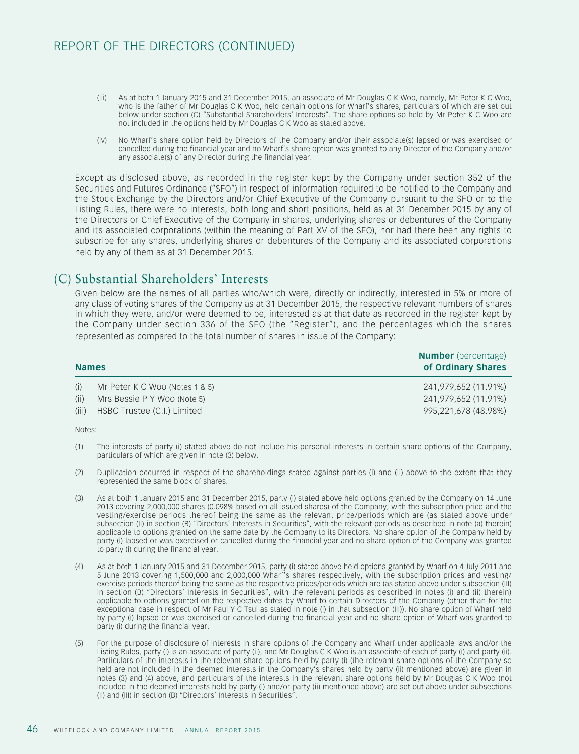- (iii) As at both 1 January 2015 and 31 December 2015, an associate of Mr Douglas C K Woo, namely, Mr Peter K C Woo, who is the father of Mr Douglas C K Woo, held certain options for Wharf's shares, particulars of which are set out below under section (C) "Substantial Shareholders' Interests". The share options so held by Mr Peter K C Woo are not included in the options held by Mr Douglas C K Woo as stated above.
- (iv) No Wharf's share option held by Directors of the Company and/or their associate(s) lapsed or was exercised or cancelled during the financial year and no Wharf's share option was granted to any Director of the Company and/or any associate(s) of any Director during the financial year.

Except as disclosed above, as recorded in the register kept by the Company under section 352 of the Securities and Futures Ordinance ("SFO") in respect of information required to be notified to the Company and the Stock Exchange by the Directors and/or Chief Executive of the Company pursuant to the SFO or to the Listing Rules, there were no interests, both long and short positions, held as at 31 December 2015 by any of the Directors or Chief Executive of the Company in shares, underlying shares or debentures of the Company and its associated corporations (within the meaning of Part XV of the SFO), nor had there been any rights to subscribe for any shares, underlying shares or debentures of the Company and its associated corporations held by any of them as at 31 December 2015.

### (C) Substantial Shareholders' Interests

Given below are the names of all parties who/which were, directly or indirectly, interested in 5% or more of any class of voting shares of the Company as at 31 December 2015, the respective relevant numbers of shares in which they were, and/or were deemed to be, interested as at that date as recorded in the register kept by the Company under section 336 of the SFO (the "Register"), and the percentages which the shares represented as compared to the total number of shares in issue of the Company:

| <b>Names</b> |                                                                                                    | <b>Number</b> (percentage)<br>of Ordinary Shares                     |
|--------------|----------------------------------------------------------------------------------------------------|----------------------------------------------------------------------|
| (i)<br>(ii)  | Mr Peter K C Woo (Notes 1 & 5)<br>Mrs Bessie P Y Woo (Note 5)<br>(iii) HSBC Trustee (C.I.) Limited | 241,979,652 (11.91%)<br>241,979,652 (11.91%)<br>995,221,678 (48.98%) |

Notes:

- (1) The interests of party (i) stated above do not include his personal interests in certain share options of the Company, particulars of which are given in note (3) below.
- (2) Duplication occurred in respect of the shareholdings stated against parties (i) and (ii) above to the extent that they represented the same block of shares.
- (3) As at both 1 January 2015 and 31 December 2015, party (i) stated above held options granted by the Company on 14 June 2013 covering 2,000,000 shares (0.098% based on all issued shares) of the Company, with the subscription price and the vesting/exercise periods thereof being the same as the relevant price/periods which are (as stated above under subsection (II) in section (B) "Directors' Interests in Securities", with the relevant periods as described in note (a) therein) applicable to options granted on the same date by the Company to its Directors. No share option of the Company held by party (i) lapsed or was exercised or cancelled during the financial year and no share option of the Company was granted to party (i) during the financial year.
- (4) As at both 1 January 2015 and 31 December 2015, party (i) stated above held options granted by Wharf on 4 July 2011 and 5 June 2013 covering 1,500,000 and 2,000,000 Wharf's shares respectively, with the subscription prices and vesting/ exercise periods thereof being the same as the respective prices/periods which are (as stated above under subsection (III) in section (B) "Directors' Interests in Securities", with the relevant periods as described in notes (i) and (ii) therein) applicable to options granted on the respective dates by Wharf to certain Directors of the Company (other than for the exceptional case in respect of Mr Paul Y C Tsui as stated in note (i) in that subsection (III)). No share option of Wharf held by party (i) lapsed or was exercised or cancelled during the financial year and no share option of Wharf was granted to party (i) during the financial year.
- (5) For the purpose of disclosure of interests in share options of the Company and Wharf under applicable laws and/or the Listing Rules, party (i) is an associate of party (ii), and Mr Douglas C K Woo is an associate of each of party (i) and party (ii). Particulars of the interests in the relevant share options held by party (i) (the relevant share options of the Company so held are not included in the deemed interests in the Company's shares held by party (ii) mentioned above) are given in notes (3) and (4) above, and particulars of the interests in the relevant share options held by Mr Douglas C K Woo (not included in the deemed interests held by party (i) and/or party (ii) mentioned above) are set out above under subsections (II) and (III) in section (B) "Directors' Interests in Securities".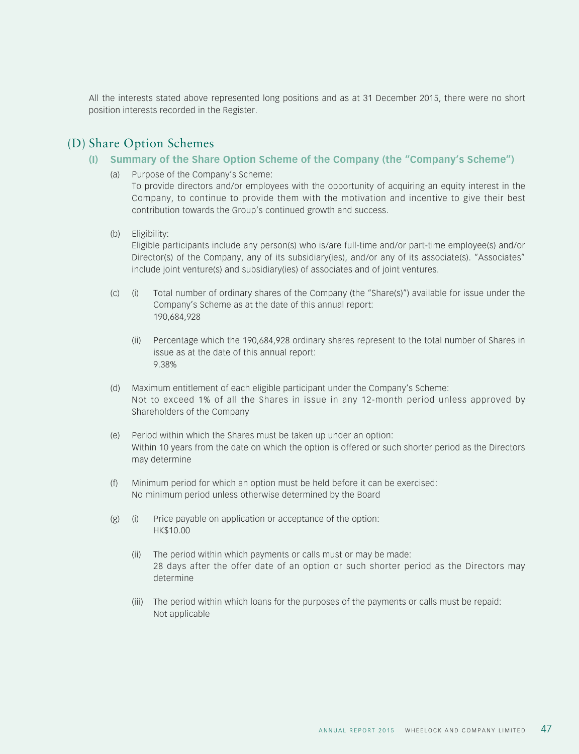All the interests stated above represented long positions and as at 31 December 2015, there were no short position interests recorded in the Register.

### (D) Share Option Schemes

- **(I) Summary of the Share Option Scheme of the Company (the "Company's Scheme")**
	- (a) Purpose of the Company's Scheme:

To provide directors and/or employees with the opportunity of acquiring an equity interest in the Company, to continue to provide them with the motivation and incentive to give their best contribution towards the Group's continued growth and success.

(b) Eligibility:

Eligible participants include any person(s) who is/are full-time and/or part-time employee(s) and/or Director(s) of the Company, any of its subsidiary(ies), and/or any of its associate(s). "Associates" include joint venture(s) and subsidiary(ies) of associates and of joint ventures.

- (c) (i) Total number of ordinary shares of the Company (the "Share(s)") available for issue under the Company's Scheme as at the date of this annual report: 190,684,928
	- (ii) Percentage which the 190,684,928 ordinary shares represent to the total number of Shares in issue as at the date of this annual report: 9.38%
- (d) Maximum entitlement of each eligible participant under the Company's Scheme: Not to exceed 1% of all the Shares in issue in any 12-month period unless approved by Shareholders of the Company
- (e) Period within which the Shares must be taken up under an option: Within 10 years from the date on which the option is offered or such shorter period as the Directors may determine
- (f) Minimum period for which an option must be held before it can be exercised: No minimum period unless otherwise determined by the Board
- (g) (i) Price payable on application or acceptance of the option: HK\$10.00
	- (ii) The period within which payments or calls must or may be made: 28 days after the offer date of an option or such shorter period as the Directors may determine
	- (iii) The period within which loans for the purposes of the payments or calls must be repaid: Not applicable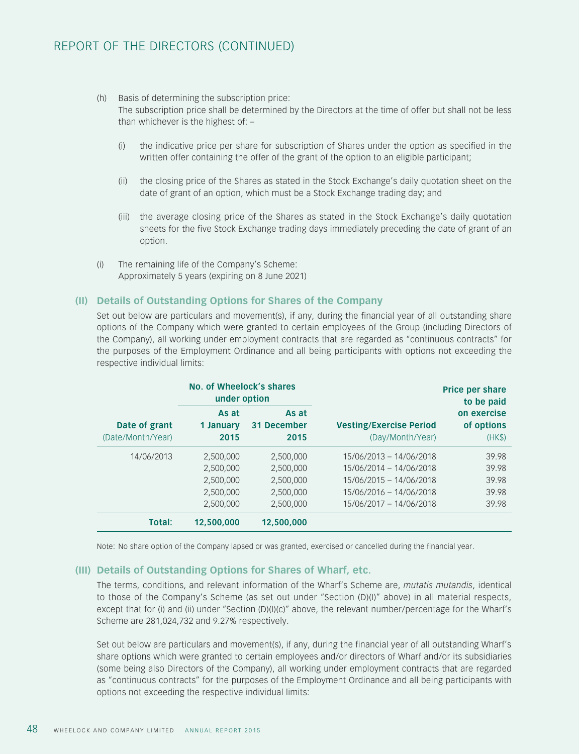- (h) Basis of determining the subscription price: The subscription price shall be determined by the Directors at the time of offer but shall not be less than whichever is the highest of: –
	- (i) the indicative price per share for subscription of Shares under the option as specified in the written offer containing the offer of the grant of the option to an eligible participant;
	- (ii) the closing price of the Shares as stated in the Stock Exchange's daily quotation sheet on the date of grant of an option, which must be a Stock Exchange trading day; and
	- (iii) the average closing price of the Shares as stated in the Stock Exchange's daily quotation sheets for the five Stock Exchange trading days immediately preceding the date of grant of an option.
- (i) The remaining life of the Company's Scheme: Approximately 5 years (expiring on 8 June 2021)

### **(II) Details of Outstanding Options for Shares of the Company**

Set out below are particulars and movement(s), if any, during the financial year of all outstanding share options of the Company which were granted to certain employees of the Group (including Directors of the Company), all working under employment contracts that are regarded as "continuous contracts" for the purposes of the Employment Ordinance and all being participants with options not exceeding the respective individual limits:

|                                    | No. of Wheelock's shares<br>under option                      |                                                               |                                                                                                                                     | <b>Price per share</b><br>to be paid      |  |
|------------------------------------|---------------------------------------------------------------|---------------------------------------------------------------|-------------------------------------------------------------------------------------------------------------------------------------|-------------------------------------------|--|
| Date of grant<br>(Date/Month/Year) | As at<br>1 January<br>2015                                    | As at<br>31 December<br>2015                                  | <b>Vesting/Exercise Period</b><br>(Day/Month/Year)                                                                                  | on exercise<br>of options<br>(HK\$)       |  |
| 14/06/2013                         | 2,500,000<br>2,500,000<br>2,500,000<br>2,500,000<br>2,500,000 | 2,500,000<br>2,500,000<br>2,500,000<br>2,500,000<br>2,500,000 | 15/06/2013 - 14/06/2018<br>15/06/2014 - 14/06/2018<br>15/06/2015 - 14/06/2018<br>15/06/2016 - 14/06/2018<br>15/06/2017 - 14/06/2018 | 39.98<br>39.98<br>39.98<br>39.98<br>39.98 |  |
| Total:                             | 12,500,000                                                    | 12,500,000                                                    |                                                                                                                                     |                                           |  |

Note: No share option of the Company lapsed or was granted, exercised or cancelled during the financial year.

### **(III) Details of Outstanding Options for Shares of Wharf, etc.**

The terms, conditions, and relevant information of the Wharf's Scheme are, *mutatis mutandis*, identical to those of the Company's Scheme (as set out under "Section (D)(I)" above) in all material respects, except that for (i) and (ii) under "Section (D)(I)(c)" above, the relevant number/percentage for the Wharf's Scheme are 281,024,732 and 9.27% respectively.

Set out below are particulars and movement(s), if any, during the financial year of all outstanding Wharf's share options which were granted to certain employees and/or directors of Wharf and/or its subsidiaries (some being also Directors of the Company), all working under employment contracts that are regarded as "continuous contracts" for the purposes of the Employment Ordinance and all being participants with options not exceeding the respective individual limits: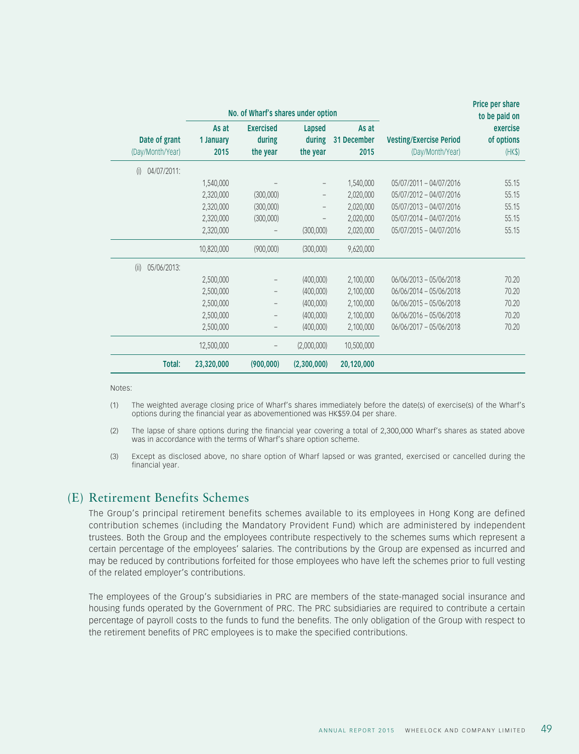|                                   | No. of Wharf's shares under option |                                        |                                     |                              | Price per share<br>to be paid on                   |                                  |
|-----------------------------------|------------------------------------|----------------------------------------|-------------------------------------|------------------------------|----------------------------------------------------|----------------------------------|
| Date of grant<br>(Day/Month/Year) | As at<br>1 January<br>2015         | <b>Exercised</b><br>during<br>the year | <b>Lapsed</b><br>during<br>the year | As at<br>31 December<br>2015 | <b>Vesting/Exercise Period</b><br>(Day/Month/Year) | exercise<br>of options<br>(HK\$) |
| 04/07/2011:<br>(i)                |                                    |                                        |                                     |                              |                                                    |                                  |
|                                   | 1,540,000                          |                                        | $\overline{\phantom{0}}$            | 1,540,000                    | 05/07/2011 - 04/07/2016                            | 55.15                            |
|                                   | 2,320,000                          | (300,000)                              | $\qquad \qquad -$                   | 2,020,000                    | 05/07/2012 - 04/07/2016                            | 55.15                            |
|                                   | 2,320,000                          | (300,000)                              | $\qquad \qquad -$                   | 2,020,000                    | 05/07/2013 - 04/07/2016                            | 55.15                            |
|                                   | 2,320,000                          | (300,000)                              | $\qquad \qquad -$                   | 2,020,000                    | 05/07/2014 - 04/07/2016                            | 55.15                            |
|                                   | 2,320,000                          |                                        | (300,000)                           | 2,020,000                    | 05/07/2015 - 04/07/2016                            | 55.15                            |
|                                   | 10,820,000                         | (900,000)                              | (300,000)                           | 9,620,000                    |                                                    |                                  |
| 05/06/2013:<br>(ii)               |                                    |                                        |                                     |                              |                                                    |                                  |
|                                   | 2,500,000                          |                                        | (400,000)                           | 2,100,000                    | 06/06/2013 - 05/06/2018                            | 70.20                            |
|                                   | 2,500,000                          | -                                      | (400,000)                           | 2,100,000                    | 06/06/2014 - 05/06/2018                            | 70.20                            |
|                                   | 2,500,000                          | -                                      | (400,000)                           | 2,100,000                    | 06/06/2015 - 05/06/2018                            | 70.20                            |
|                                   | 2,500,000                          |                                        | (400,000)                           | 2,100,000                    | 06/06/2016 - 05/06/2018                            | 70.20                            |
|                                   | 2,500,000                          |                                        | (400,000)                           | 2,100,000                    | 06/06/2017 - 05/06/2018                            | 70.20                            |
|                                   | 12,500,000                         |                                        | (2,000,000)                         | 10,500,000                   |                                                    |                                  |
| Total:                            | 23,320,000                         | (900,000)                              | (2,300,000)                         | 20,120,000                   |                                                    |                                  |

Notes:

- (1) The weighted average closing price of Wharf's shares immediately before the date(s) of exercise(s) of the Wharf's options during the financial year as abovementioned was HK\$59.04 per share.
- (2) The lapse of share options during the financial year covering a total of 2,300,000 Wharf's shares as stated above was in accordance with the terms of Wharf's share option scheme.
- (3) Except as disclosed above, no share option of Wharf lapsed or was granted, exercised or cancelled during the financial year.

### (E) Retirement Benefits Schemes

The Group's principal retirement benefits schemes available to its employees in Hong Kong are defined contribution schemes (including the Mandatory Provident Fund) which are administered by independent trustees. Both the Group and the employees contribute respectively to the schemes sums which represent a certain percentage of the employees' salaries. The contributions by the Group are expensed as incurred and may be reduced by contributions forfeited for those employees who have left the schemes prior to full vesting of the related employer's contributions.

The employees of the Group's subsidiaries in PRC are members of the state-managed social insurance and housing funds operated by the Government of PRC. The PRC subsidiaries are required to contribute a certain percentage of payroll costs to the funds to fund the benefits. The only obligation of the Group with respect to the retirement benefits of PRC employees is to make the specified contributions.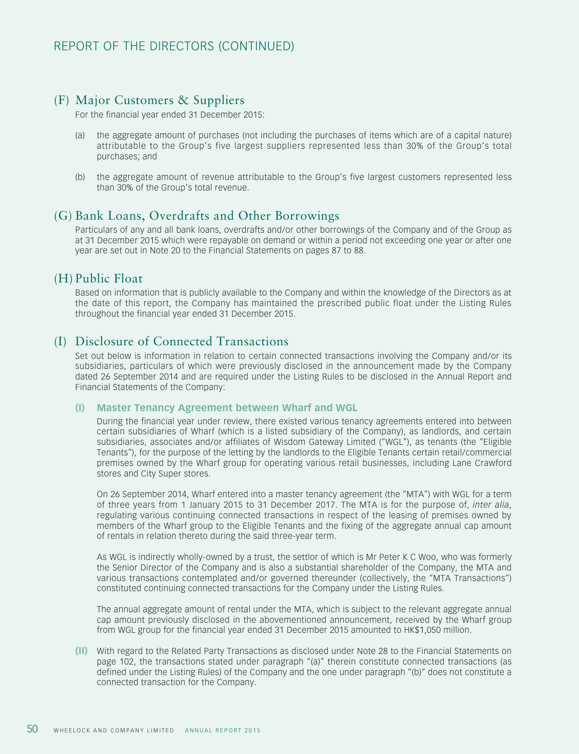# (F) Major Customers & Suppliers

For the financial year ended 31 December 2015:

- (a) the aggregate amount of purchases (not including the purchases of items which are of a capital nature) attributable to the Group's five largest suppliers represented less than 30% of the Group's total purchases; and
- (b) the aggregate amount of revenue attributable to the Group's five largest customers represented less than 30% of the Group's total revenue.

### (G) Bank Loans, Overdrafts and Other Borrowings

Particulars of any and all bank loans, overdrafts and/or other borrowings of the Company and of the Group as at 31 December 2015 which were repayable on demand or within a period not exceeding one year or after one year are set out in Note 20 to the Financial Statements on pages 87 to 88.

# (H) Public Float

Based on information that is publicly available to the Company and within the knowledge of the Directors as at the date of this report, the Company has maintained the prescribed public float under the Listing Rules throughout the financial year ended 31 December 2015.

### (I) Disclosure of Connected Transactions

Set out below is information in relation to certain connected transactions involving the Company and/or its subsidiaries, particulars of which were previously disclosed in the announcement made by the Company dated 26 September 2014 and are required under the Listing Rules to be disclosed in the Annual Report and Financial Statements of the Company:

### **(I) Master Tenancy Agreement between Wharf and WGL**

During the financial year under review, there existed various tenancy agreements entered into between certain subsidiaries of Wharf (which is a listed subsidiary of the Company), as landlords, and certain subsidiaries, associates and/or affiliates of Wisdom Gateway Limited ("WGL"), as tenants (the "Eligible Tenants"), for the purpose of the letting by the landlords to the Eligible Tenants certain retail/commercial premises owned by the Wharf group for operating various retail businesses, including Lane Crawford stores and City Super stores.

On 26 September 2014, Wharf entered into a master tenancy agreement (the "MTA") with WGL for a term of three years from 1 January 2015 to 31 December 2017. The MTA is for the purpose of, *inter alia*, regulating various continuing connected transactions in respect of the leasing of premises owned by members of the Wharf group to the Eligible Tenants and the fixing of the aggregate annual cap amount of rentals in relation thereto during the said three-year term.

As WGL is indirectly wholly-owned by a trust, the settlor of which is Mr Peter K C Woo, who was formerly the Senior Director of the Company and is also a substantial shareholder of the Company, the MTA and various transactions contemplated and/or governed thereunder (collectively, the "MTA Transactions") constituted continuing connected transactions for the Company under the Listing Rules.

The annual aggregate amount of rental under the MTA, which is subject to the relevant aggregate annual cap amount previously disclosed in the abovementioned announcement, received by the Wharf group from WGL group for the financial year ended 31 December 2015 amounted to HK\$1,050 million.

**(II)** With regard to the Related Party Transactions as disclosed under Note 28 to the Financial Statements on page 102, the transactions stated under paragraph "(a)" therein constitute connected transactions (as defined under the Listing Rules) of the Company and the one under paragraph "(b)" does not constitute a connected transaction for the Company.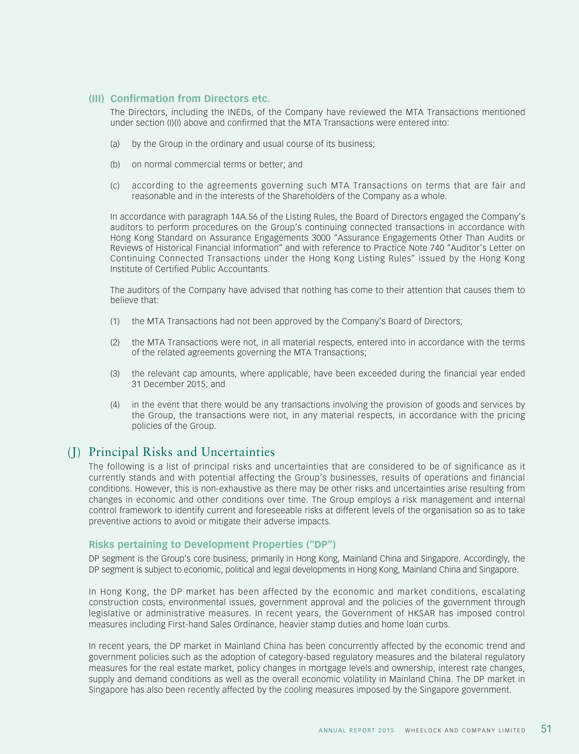### **(III) Confirmation from Directors etc.**

The Directors, including the INEDs, of the Company have reviewed the MTA Transactions mentioned under section (I)(I) above and confirmed that the MTA Transactions were entered into:

- (a) by the Group in the ordinary and usual course of its business;
- (b) on normal commercial terms or better; and
- (c) according to the agreements governing such MTA Transactions on terms that are fair and reasonable and in the interests of the Shareholders of the Company as a whole.

In accordance with paragraph 14A.56 of the Listing Rules, the Board of Directors engaged the Company's auditors to perform procedures on the Group's continuing connected transactions in accordance with Hong Kong Standard on Assurance Engagements 3000 "Assurance Engagements Other Than Audits or Reviews of Historical Financial Information" and with reference to Practice Note 740 "Auditor's Letter on Continuing Connected Transactions under the Hong Kong Listing Rules" issued by the Hong Kong Institute of Certified Public Accountants.

The auditors of the Company have advised that nothing has come to their attention that causes them to believe that:

- (1) the MTA Transactions had not been approved by the Company's Board of Directors;
- (2) the MTA Transactions were not, in all material respects, entered into in accordance with the terms of the related agreements governing the MTA Transactions;
- (3) the relevant cap amounts, where applicable, have been exceeded during the financial year ended 31 December 2015; and
- (4) in the event that there would be any transactions involving the provision of goods and services by the Group, the transactions were not, in any material respects, in accordance with the pricing policies of the Group.

# (J) Principal Risks and Uncertainties

The following is a list of principal risks and uncertainties that are considered to be of significance as it currently stands and with potential affecting the Group's businesses, results of operations and financial conditions. However, this is non-exhaustive as there may be other risks and uncertainties arise resulting from changes in economic and other conditions over time. The Group employs a risk management and internal control framework to identify current and foreseeable risks at different levels of the organisation so as to take preventive actions to avoid or mitigate their adverse impacts.

### **Risks pertaining to Development Properties ("DP")**

DP segment is the Group's core business, primarily in Hong Kong, Mainland China and Singapore. Accordingly, the DP segment is subject to economic, political and legal developments in Hong Kong, Mainland China and Singapore.

In Hong Kong, the DP market has been affected by the economic and market conditions, escalating construction costs, environmental issues, government approval and the policies of the government through legislative or administrative measures. In recent years, the Government of HKSAR has imposed control measures including First-hand Sales Ordinance, heavier stamp duties and home loan curbs.

In recent years, the DP market in Mainland China has been concurrently affected by the economic trend and government policies such as the adoption of category-based regulatory measures and the bilateral regulatory measures for the real estate market, policy changes in mortgage levels and ownership, interest rate changes, supply and demand conditions as well as the overall economic volatility in Mainland China. The DP market in Singapore has also been recently affected by the cooling measures imposed by the Singapore government.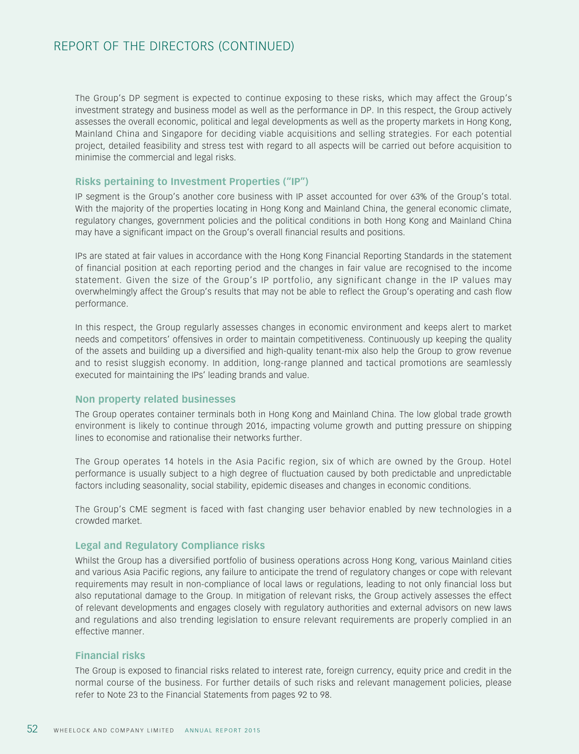The Group's DP segment is expected to continue exposing to these risks, which may affect the Group's investment strategy and business model as well as the performance in DP. In this respect, the Group actively assesses the overall economic, political and legal developments as well as the property markets in Hong Kong, Mainland China and Singapore for deciding viable acquisitions and selling strategies. For each potential project, detailed feasibility and stress test with regard to all aspects will be carried out before acquisition to minimise the commercial and legal risks.

### **Risks pertaining to Investment Properties ("IP")**

IP segment is the Group's another core business with IP asset accounted for over 63% of the Group's total. With the majority of the properties locating in Hong Kong and Mainland China, the general economic climate, regulatory changes, government policies and the political conditions in both Hong Kong and Mainland China may have a significant impact on the Group's overall financial results and positions.

IPs are stated at fair values in accordance with the Hong Kong Financial Reporting Standards in the statement of financial position at each reporting period and the changes in fair value are recognised to the income statement. Given the size of the Group's IP portfolio, any significant change in the IP values may overwhelmingly affect the Group's results that may not be able to reflect the Group's operating and cash flow performance.

In this respect, the Group regularly assesses changes in economic environment and keeps alert to market needs and competitors' offensives in order to maintain competitiveness. Continuously up keeping the quality of the assets and building up a diversified and high-quality tenant-mix also help the Group to grow revenue and to resist sluggish economy. In addition, long-range planned and tactical promotions are seamlessly executed for maintaining the IPs' leading brands and value.

### **Non property related businesses**

The Group operates container terminals both in Hong Kong and Mainland China. The low global trade growth environment is likely to continue through 2016, impacting volume growth and putting pressure on shipping lines to economise and rationalise their networks further.

The Group operates 14 hotels in the Asia Pacific region, six of which are owned by the Group. Hotel performance is usually subject to a high degree of fluctuation caused by both predictable and unpredictable factors including seasonality, social stability, epidemic diseases and changes in economic conditions.

The Group's CME segment is faced with fast changing user behavior enabled by new technologies in a crowded market.

### **Legal and Regulatory Compliance risks**

Whilst the Group has a diversified portfolio of business operations across Hong Kong, various Mainland cities and various Asia Pacific regions, any failure to anticipate the trend of regulatory changes or cope with relevant requirements may result in non-compliance of local laws or regulations, leading to not only financial loss but also reputational damage to the Group. In mitigation of relevant risks, the Group actively assesses the effect of relevant developments and engages closely with regulatory authorities and external advisors on new laws and regulations and also trending legislation to ensure relevant requirements are properly complied in an effective manner.

### **Financial risks**

The Group is exposed to financial risks related to interest rate, foreign currency, equity price and credit in the normal course of the business. For further details of such risks and relevant management policies, please refer to Note 23 to the Financial Statements from pages 92 to 98.